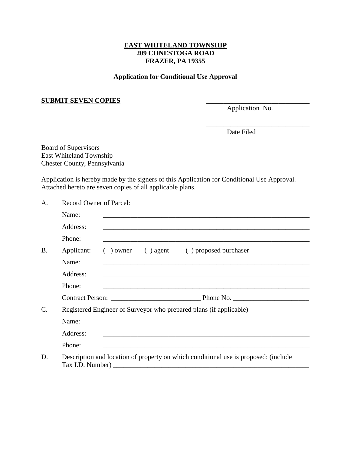## **EAST WHITELAND TOWNSHIP 209 CONESTOGA ROAD FRAZER, PA 19355**

## **Application for Conditional Use Approval**

## **SUBMIT SEVEN COPIES \_\_\_\_\_\_\_\_\_\_\_\_\_\_\_\_\_\_\_\_\_\_\_\_\_\_\_\_\_\_**

Application No.

\_\_\_\_\_\_\_\_\_\_\_\_\_\_\_\_\_\_\_\_\_\_\_\_\_\_\_\_\_\_

Date Filed

Board of Supervisors East Whiteland Township Chester County, Pennsylvania

Application is hereby made by the signers of this Application for Conditional Use Approval. Attached hereto are seven copies of all applicable plans.

A. Record Owner of Parcel:

|           | Name:      |                                                                                                                     |  |
|-----------|------------|---------------------------------------------------------------------------------------------------------------------|--|
|           | Address:   | <u> 1989 - John Stone, amerikansk politiker (d. 1989)</u>                                                           |  |
|           | Phone:     |                                                                                                                     |  |
| <b>B.</b> | Applicant: | () owner () agent () proposed purchaser                                                                             |  |
|           | Name:      |                                                                                                                     |  |
|           | Address:   |                                                                                                                     |  |
|           | Phone:     |                                                                                                                     |  |
|           |            |                                                                                                                     |  |
| C.        |            | Registered Engineer of Surveyor who prepared plans (if applicable)                                                  |  |
|           | Name:      | <u> 1980 - Johann Stoff, amerikansk politiker (* 1900)</u>                                                          |  |
|           | Address:   | <u> 1980 - Jan Sterling, mars and de la politica de la politica de la politica de la politica de la politica de</u> |  |
|           | Phone:     |                                                                                                                     |  |
| D.        |            | Description and location of property on which conditional use is proposed: (include                                 |  |